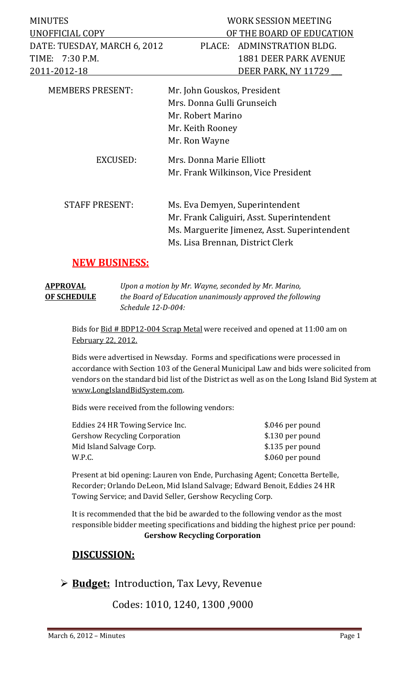| <b>MINUTES</b>               | WORK SESSION MEETING                |  |  |
|------------------------------|-------------------------------------|--|--|
| UNOFFICIAL COPY              | OF THE BOARD OF EDUCATION           |  |  |
| DATE: TUESDAY, MARCH 6, 2012 | ADMINSTRATION BLDG.<br>PLACE:       |  |  |
| TIME: 7:30 P.M.              | <b>1881 DEER PARK AVENUE</b>        |  |  |
| 2011-2012-18                 | DEER PARK, NY 11729                 |  |  |
| <b>MEMBERS PRESENT:</b>      | Mr. John Gouskos, President         |  |  |
|                              | Mrs. Donna Gulli Grunseich          |  |  |
|                              | Mr. Robert Marino                   |  |  |
|                              | Mr. Keith Rooney                    |  |  |
|                              | Mr. Ron Wayne                       |  |  |
| EXCUSED:                     | Mrs. Donna Marie Elliott            |  |  |
|                              | Mr. Frank Wilkinson, Vice President |  |  |
| <b>STAFF PRESENT:</b>        | Ms. Eva Demyen, Superintendent      |  |  |

Mr. Frank Caliguiri, Asst. Superintendent Ms. Marguerite Jimenez, Asst. Superintendent Ms. Lisa Brennan, District Clerk

## **NEW BUSINESS:**

| APPROVAL    | Upon a motion by Mr. Wayne, seconded by Mr. Marino,       |
|-------------|-----------------------------------------------------------|
| OF SCHEDULE | the Board of Education unanimously approved the following |
|             | Schedule 12-D-004:                                        |

Bids for Bid # BDP12-004 Scrap Metal were received and opened at 11:00 am on February 22, 2012.

Bids were advertised in Newsday. Forms and specifications were processed in accordance with Section 103 of the General Municipal Law and bids were solicited from vendors on the standard bid list of the District as well as on the Long Island Bid System at www.LongIslandBidSystem.com. 

Bids were received from the following vendors:

| Eddies 24 HR Towing Service Inc.     | \$.046 per pound |
|--------------------------------------|------------------|
| <b>Gershow Recycling Corporation</b> | \$.130 per pound |
| Mid Island Salvage Corp.             | \$.135 per pound |
| W.P.C.                               | \$.060 per pound |
|                                      |                  |

Present at bid opening: Lauren von Ende, Purchasing Agent; Concetta Bertelle, Recorder; Orlando DeLeon, Mid Island Salvage; Edward Benoit, Eddies 24 HR Towing Service; and David Seller, Gershow Recycling Corp.

It is recommended that the bid be awarded to the following vendor as the most responsible bidder meeting specifications and bidding the highest price per pound: **Gershow Recycling Corporation**

## **DISCUSSION:**

## **► Budget:** Introduction, Tax Levy, Revenue

 Codes: 1010, 1240, 1300 ,9000